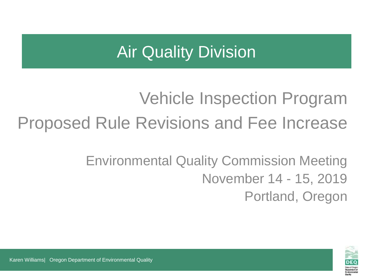## Air Quality Division

# Vehicle Inspection Program Proposed Rule Revisions and Fee Increase

### Environmental Quality Commission Meeting November 14 - 15, 2019 Portland, Oregon

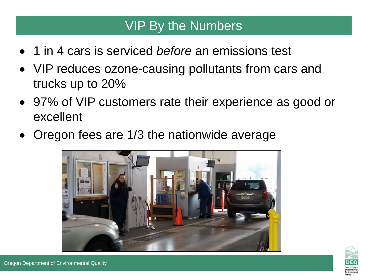#### VIP By the Numbers

- 1 in 4 cars is serviced *before* an emissions test
- VIP reduces ozone-causing pollutants from cars and trucks up to 20%
- 97% of VIP customers rate their experience as good or excellent
- Oregon fees are 1/3 the nationwide average



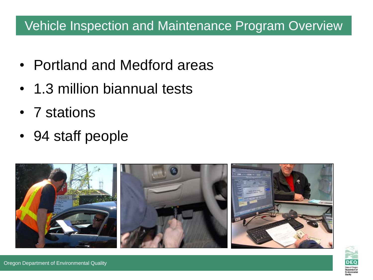#### Vehicle Inspection and Maintenance Program Overview

- Portland and Medford areas
- 1.3 million biannual tests
- 7 stations
- 94 staff people



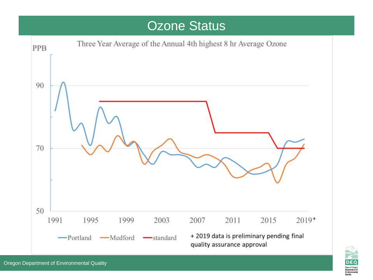#### Ozone Status



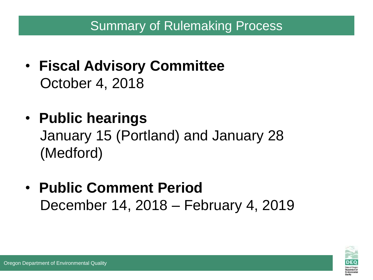#### Summary of Rulemaking Process

- **Fiscal Advisory Committee** October 4, 2018
- **Public hearings** January 15 (Portland) and January 28 (Medford)
- **Public Comment Period** December 14, 2018 – February 4, 2019

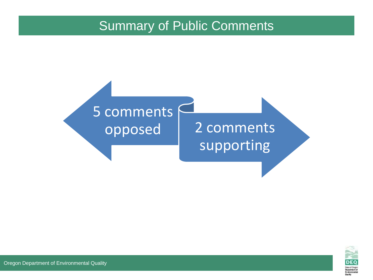#### Summary of Public Comments





Oregon Department of Environmental Quality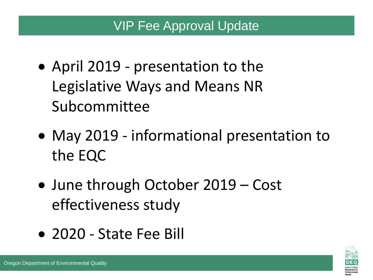#### VIP Fee Approval Update

- April 2019 presentation to the Legislative Ways and Means NR Subcommittee
- May 2019 informational presentation to the EQC
- June through October 2019 Cost effectiveness study
- 2020 State Fee Bill

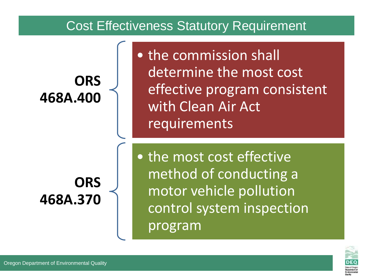#### Cost Effectiveness Statutory Requirement

**ORS 468A.400** • the commission shall determine the most cost effective program consistent with Clean Air Act requirements

**ORS 468A.370** • the most cost effective method of conducting a motor vehicle pollution control system inspection program

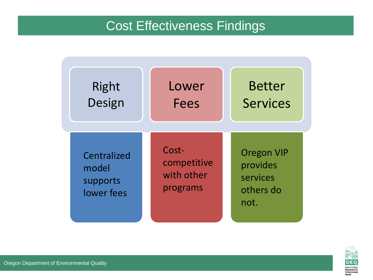#### Cost Effectiveness Findings



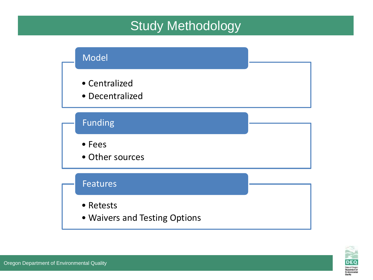#### Study Methodology



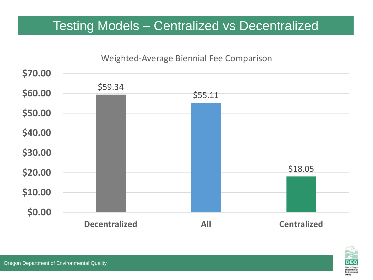#### Testing Models – Centralized vs Decentralized



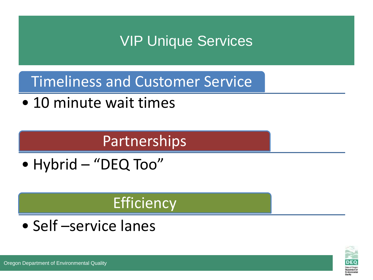### VIP Unique Services

Timeliness and Customer Service

• 10 minute wait times

### Partnerships

• Hybrid – "DEQ Too"

### **Efficiency**

• Self –service lanes

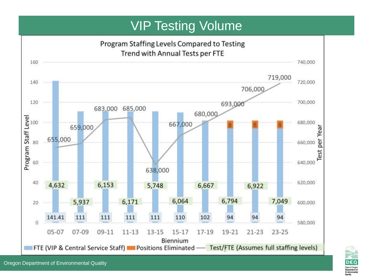#### VIP Testing Volume



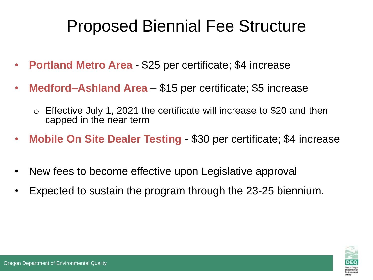# Proposed Biennial Fee Structure

- **Portland Metro Area**  \$25 per certificate; \$4 increase
- **Medford–Ashland Area** \$15 per certificate; \$5 increase
	- $\circ$  Effective July 1, 2021 the certificate will increase to \$20 and then capped in the near term
- **Mobile On Site Dealer Testing** \$30 per certificate; \$4 increase
- New fees to become effective upon Legislative approval
- Expected to sustain the program through the 23-25 biennium.

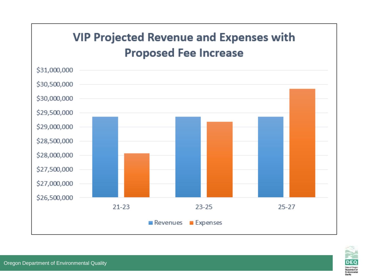#### **VIP Projected Revenue and Expenses with Proposed Fee Increase**



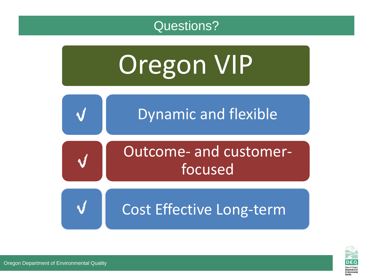





Oregon Department of Environmental Quality